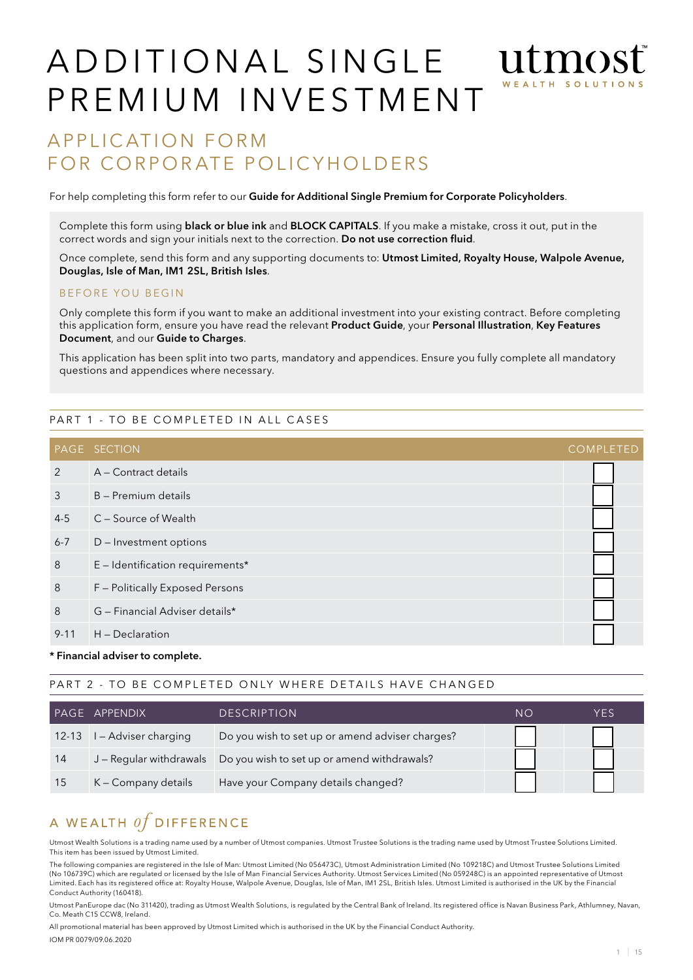# A D D I T I O N A L SINGLE UT TUOS P R E M I U M IN VEST MENT

# APPLICATION FORM FOR CORPORATE POLICYHOLDERS

For help completing this form refer to our Guide for Additional Single Premium for Corporate Policyholders.

Complete this form using **black or blue ink** and **BLOCK CAPITALS**. If you make a mistake, cross it out, put in the correct words and sign your initials next to the correction. Do not use correction fluid.

Once complete, send this form and any supporting documents to: Utmost Limited, Royalty House, Walpole Avenue, Douglas, Isle of Man, IM1 2SL, British Isles.

#### BEFORE YOU BEGIN

Only complete this form if you want to make an additional investment into your existing contract. Before completing this application form, ensure you have read the relevant Product Guide, your Personal Illustration, Key Features Document, and our Guide to Charges.

This application has been split into two parts, mandatory and appendices. Ensure you fully complete all mandatory questions and appendices where necessary.

#### PART 1 - TO BE COMPLETED IN ALL CASES

|          | <b>PAGE SECTION</b>                | <b>COMPLETED</b> |
|----------|------------------------------------|------------------|
| 2        | A – Contract details               |                  |
| 3        | B - Premium details                |                  |
| $4 - 5$  | C - Source of Wealth               |                  |
| $6 - 7$  | D – Investment options             |                  |
| 8        | $E$ – Identification requirements* |                  |
| 8        | F - Politically Exposed Persons    |                  |
| 8        | G - Financial Adviser details*     |                  |
| $9 - 11$ | H - Declaration                    |                  |

#### \* Financial adviser to complete.

#### PART 2 - TO BE COMPLETED ONLY WHERE DETAILS HAVE CHANGED

|    | PAGE APPENDIX              | <b>DESCRIPTION</b>                                                    | NO | YFS |
|----|----------------------------|-----------------------------------------------------------------------|----|-----|
|    | 12-13 I - Adviser charging | Do you wish to set up or amend adviser charges?                       |    |     |
| 14 |                            | J - Regular withdrawals   Do you wish to set up or amend withdrawals? |    |     |
| 15 | K - Company details        | Have your Company details changed?                                    |    |     |

# A WEALTH  $of$  DIFFERENCE

Utmost Wealth Solutions is a trading name used by a number of Utmost companies. Utmost Trustee Solutions is the trading name used by Utmost Trustee Solutions Limited. This item has been issued by Utmost Limited.

The following companies are registered in the Isle of Man: Utmost Limited (No 056473C), Utmost Administration Limited (No 109218C) and Utmost Trustee Solutions Limited (No 106739C) which are regulated or licensed by the Isle of Man Financial Services Authority. Utmost Services Limited (No 059248C) is an appointed representative of Utmost Limited. Each has its registered office at: Royalty House, Walpole Avenue, Douglas, Isle of Man, IM 1 2SL, British Isles. Utmost Limited is authorised in the UK by the Financial Conduct Authority (160418).

Utmost PanEurope dac (No 311420), trading as Utmost Wealth Solutions, is regulated by the Central Bank of Ireland. Its registered office is Navan Business Park, Athlumney, Navan, Co. Meath C15 CCW8, Ireland.

All promotional material has been approved by Utmost Limited which is authorised in the UK by the Financial Conduct Authority.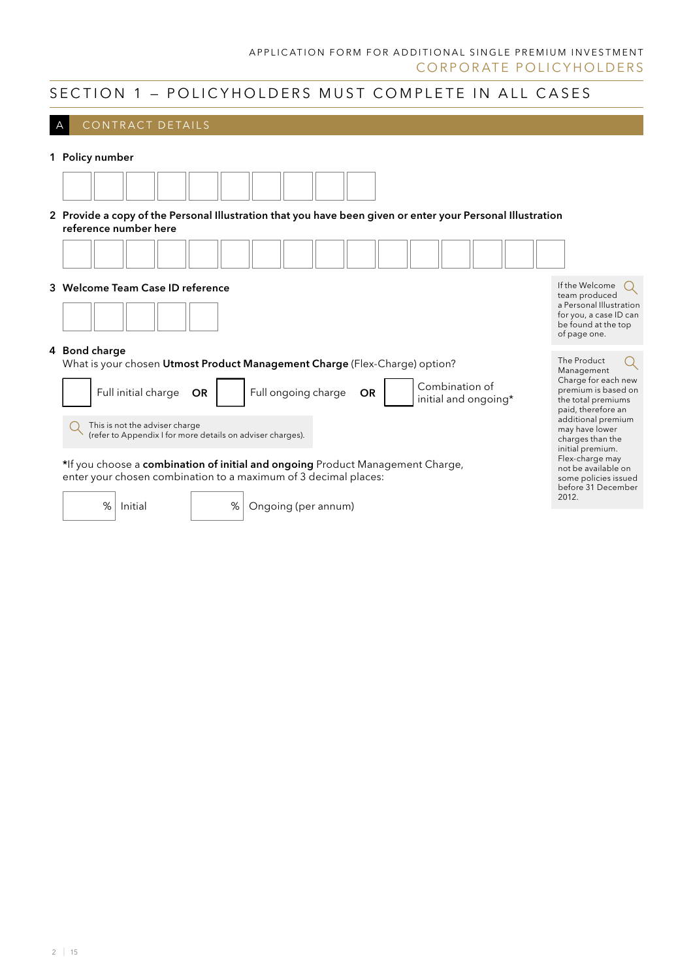## SECTION 1 - POLICYHOLDERS MUST COMPLETE IN ALL CASES

| CONTRACT DETAILS                 |                                                                                                                                                   |                                                                                                                             |
|----------------------------------|---------------------------------------------------------------------------------------------------------------------------------------------------|-----------------------------------------------------------------------------------------------------------------------------|
| 1 Policy number                  |                                                                                                                                                   |                                                                                                                             |
|                                  |                                                                                                                                                   |                                                                                                                             |
| reference number here            | 2 Provide a copy of the Personal Illustration that you have been given or enter your Personal Illustration                                        |                                                                                                                             |
|                                  |                                                                                                                                                   |                                                                                                                             |
| 3 Welcome Team Case ID reference |                                                                                                                                                   | If the Welcome<br>team produced<br>a Personal Illustration<br>for you, a case ID can<br>be found at the top<br>of page one. |
| 4 Bond charge                    | What is your chosen Utmost Product Management Charge (Flex-Charge) option?                                                                        | The Product<br>Management                                                                                                   |
| Full initial charge              | Combination of<br>Full ongoing charge<br><b>OR</b><br><b>OR</b><br>initial and ongoing*                                                           | Charge for each new<br>premium is based on<br>the total premiums<br>paid, therefore an                                      |
| This is not the adviser charge   | (refer to Appendix I for more details on adviser charges).                                                                                        | additional premium<br>may have lower<br>charges than the<br>initial premium.                                                |
|                                  | *If you choose a combination of initial and ongoing Product Management Charge,<br>enter your chosen combination to a maximum of 3 decimal places: | Flex-charge may<br>not be available on<br>some policies issued<br>before 31 December                                        |
| %<br>Initial                     | %<br>Ongoing (per annum)                                                                                                                          | 2012.                                                                                                                       |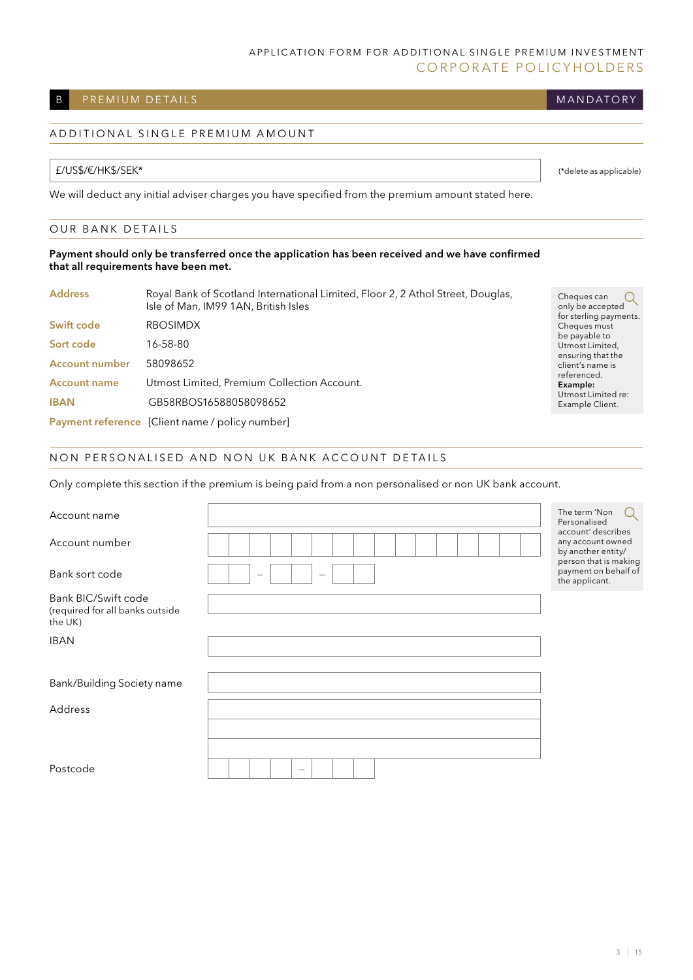## B PREMIUM DETAILS

## A D D I T I O N A L SIN G L E P R E M I U M A M O U N T

#### £/US\$/€/HK\$/SEK\*

We will deduct any initial adviser charges you have specified from the premium amount stated here.

#### OUR BANK DETAILS

#### Payment should only be transferred once the application has been received and we have confirmed that all requirements have been met.

| <b>Address</b>        | Royal Bank of Scotland International Limited, Floor 2, 2 Athol Street, Douglas,<br>Isle of Man, IM99 1AN, British Isles |
|-----------------------|-------------------------------------------------------------------------------------------------------------------------|
| Swift code            | <b>RBOSIMDX</b>                                                                                                         |
| Sort code             | 16-58-80                                                                                                                |
| <b>Account number</b> | 58098652                                                                                                                |
| <b>Account name</b>   | Utmost Limited, Premium Collection Account.                                                                             |
| <b>IBAN</b>           | GB58RBOS16588058098652                                                                                                  |
|                       | Payment reference [Client name / policy number]                                                                         |

Cheques can Q only be accepted for sterling payments. Cheques must be payable to Utmost Limited, ensuring that the client's name is referenced. Example: Utmost Limited re: Example Client.

(\*delete as applicable)

**MANDATORY** 

#### NON PERSONALISED AND NON UK BANK ACCOUNT DETAILS

Only complete this section if the premium is being paid from a non personalised or non UK bank account.

| Account name                                                      |                                                                    | The term 'Non<br>Personalised                                   |
|-------------------------------------------------------------------|--------------------------------------------------------------------|-----------------------------------------------------------------|
| Account number                                                    |                                                                    | account' describes<br>any account owned<br>by another entity/   |
| Bank sort code                                                    | $\hspace{0.1mm}-\hspace{0.1mm}$<br>$\hspace{0.1mm}-\hspace{0.1mm}$ | person that is making<br>payment on behalf of<br>the applicant. |
| Bank BIC/Swift code<br>(required for all banks outside<br>the UK) |                                                                    |                                                                 |
| <b>IBAN</b>                                                       |                                                                    |                                                                 |
|                                                                   |                                                                    |                                                                 |
| Bank/Building Society name                                        |                                                                    |                                                                 |
| Address                                                           |                                                                    |                                                                 |
|                                                                   |                                                                    |                                                                 |
|                                                                   |                                                                    |                                                                 |
| Postcode                                                          | $\qquad \qquad$                                                    |                                                                 |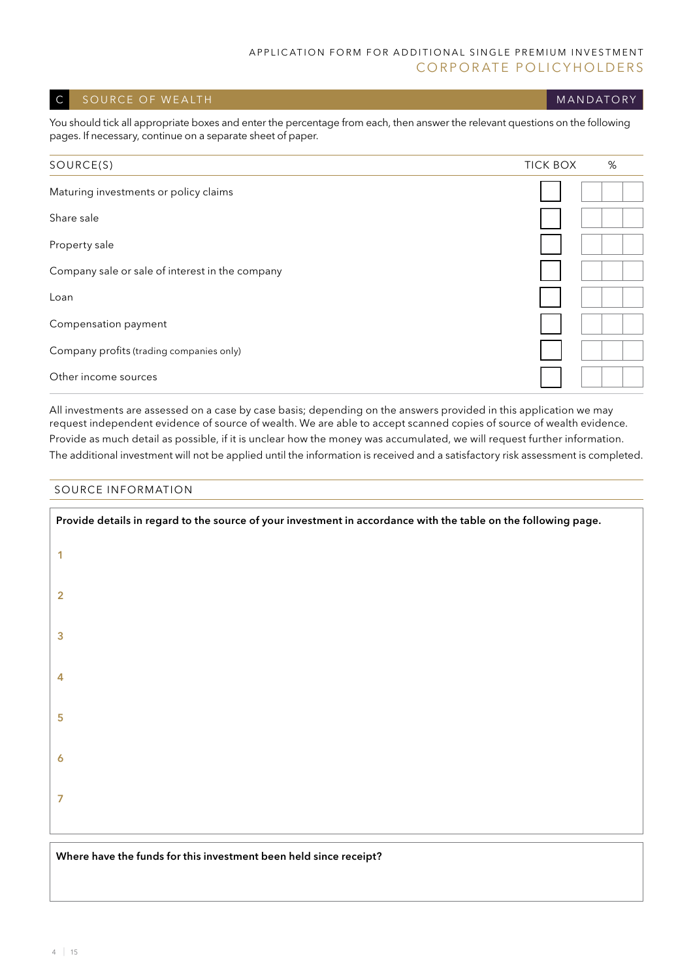#### C SOURCE OF WEALTH MANUSCHER CONTROL CONTROL CONTROL CONTROL CONTROL CONTROL CONTROL CONTROL CONTROL CONTROL CO

You should tick all appropriate boxes and enter the percentage from each, then answer the relevant questions on the following pages. If necessary, continue on a separate sheet of paper.

| SOURCE(S)                                       | %<br><b>TICK BOX</b> |
|-------------------------------------------------|----------------------|
| Maturing investments or policy claims           |                      |
| Share sale                                      |                      |
| Property sale                                   |                      |
| Company sale or sale of interest in the company |                      |
| Loan                                            |                      |
| Compensation payment                            |                      |
| Company profits (trading companies only)        |                      |
| Other income sources                            |                      |

All investments are assessed on a case by case basis; depending on the answers provided in this application we may request independent evidence of source of wealth. We are able to accept scanned copies of source of wealth evidence. Provide as much detail as possible, if it is unclear how the money was accumulated, we will request further information. The additional investment will not be applied until the information is received and a satisfactory risk assessment is completed.

#### Source information

| Provide details in regard to the source of your investment in accordance with the table on the following page. |  |  |
|----------------------------------------------------------------------------------------------------------------|--|--|
| 1                                                                                                              |  |  |
| $\overline{2}$                                                                                                 |  |  |
| 3                                                                                                              |  |  |
| 4                                                                                                              |  |  |
| 5                                                                                                              |  |  |
| $\boldsymbol{6}$                                                                                               |  |  |
| 7                                                                                                              |  |  |
|                                                                                                                |  |  |

#### Where have the funds for this investment been held since receipt?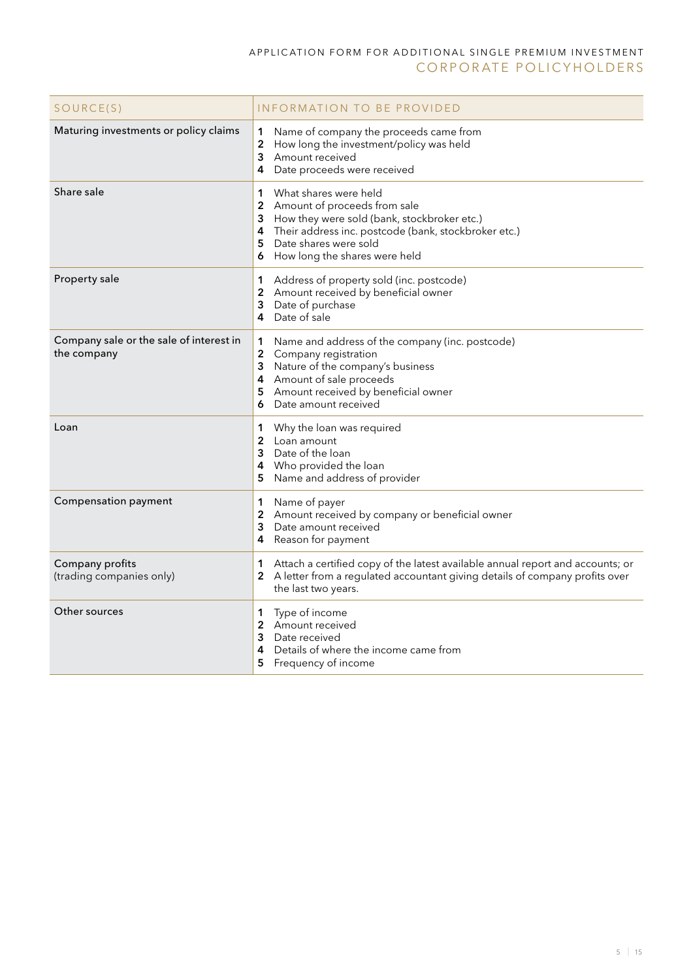| SOURCE(S)                                              | INFORMATION TO BE PROVIDED                                                                                                                                                                                                                                        |
|--------------------------------------------------------|-------------------------------------------------------------------------------------------------------------------------------------------------------------------------------------------------------------------------------------------------------------------|
| Maturing investments or policy claims                  | Name of company the proceeds came from<br>1<br>$\boldsymbol{2}$<br>How long the investment/policy was held<br>3<br>Amount received<br>4<br>Date proceeds were received                                                                                            |
| Share sale                                             | What shares were held<br>1<br>$\overline{2}$<br>Amount of proceeds from sale<br>How they were sold (bank, stockbroker etc.)<br>3<br>Their address inc. postcode (bank, stockbroker etc.)<br>4<br>Date shares were sold<br>5<br>6<br>How long the shares were held |
| Property sale                                          | Address of property sold (inc. postcode)<br>1<br>2<br>Amount received by beneficial owner<br>Date of purchase<br>3<br>Date of sale<br>4                                                                                                                           |
| Company sale or the sale of interest in<br>the company | Name and address of the company (inc. postcode)<br>1<br>$\overline{\mathbf{c}}$<br>Company registration<br>Nature of the company's business<br>3<br>Amount of sale proceeds<br>4<br>Amount received by beneficial owner<br>5<br>Date amount received<br>6         |
| Loan                                                   | 1<br>Why the loan was required<br>$\overline{2}$<br>Loan amount<br>Date of the loan<br>3<br>Who provided the loan<br>4<br>Name and address of provider<br>5                                                                                                       |
| <b>Compensation payment</b>                            | 1<br>Name of payer<br>$\boldsymbol{2}$<br>Amount received by company or beneficial owner<br>3<br>Date amount received<br>Reason for payment<br>4                                                                                                                  |
| Company profits<br>(trading companies only)            | Attach a certified copy of the latest available annual report and accounts; or<br>1<br>A letter from a regulated accountant giving details of company profits over<br>2<br>the last two years.                                                                    |
| Other sources                                          | Type of income<br>1<br>Amount received<br>$\overline{2}$<br>3<br>Date received<br>Details of where the income came from<br>4<br>Frequency of income<br>5                                                                                                          |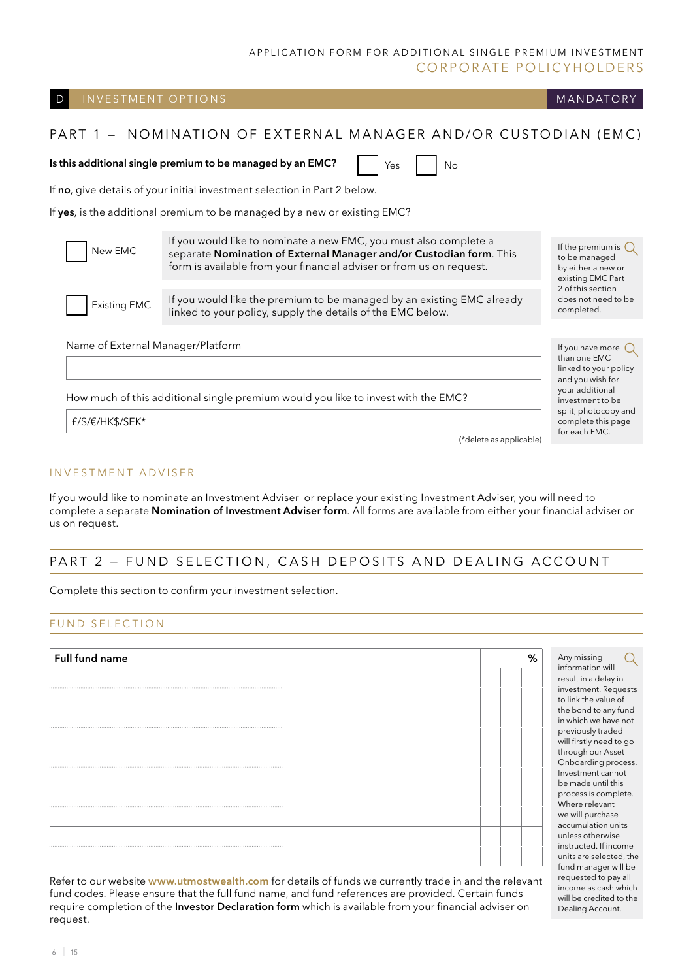#### Name of External Manager/Platform How much of this additional single premium would you like to invest with the EMC? PART 1 - NOMINATION OF EXTERNAL MANAGER AND/OR CUSTODIAN (EMC) Is this additional single premium to be managed by an EMC? If no, give details of your initial investment selection in Part 2 below. If yes, is the additional premium to be managed by a new or existing EMC? D INVESTMENT OPTIONS AND THE RESERVE ENDING TO THE RESERVE ENDING: A STREET OF THE MANDATORY £/\$/€/HK\$/SEK\* (\*delete as applicable) If the premium is  $\bigcap$ to be managed by either a new or existing EMC Part 2 of this section does not need to be completed. If you have more  $\bigcap$ than one EMC linked to your policy and you wish for your additional investment to be split, photocopy and complete this page for each EMC. Yes No New EMC Existing EMC If you would like to nominate a new EMC, you must also complete a separate Nomination of External Manager and/or Custodian form. This form is available from your financial adviser or from us on request. If you would like the premium to be managed by an existing EMC already linked to your policy, supply the details of the EMC below.

## INVESTMENT ADVISER

If you would like to nominate an Investment Adviser or replace your existing Investment Adviser, you will need to complete a separate Nomination of Investment Adviser form. All forms are available from either your financial adviser or us on request.

## PART 2 - FUND SELECTION, CASH DEPOSITS AND DEALING ACCOUNT

Complete this section to confirm your investment selection.

## FUND SELECTION

| Full fund name |  | ℅ |
|----------------|--|---|
| .              |  |   |
|                |  |   |
|                |  |   |
| .              |  |   |
|                |  |   |

investment. Requests to link the value of the bond to any fund in which we have not previously traded will firstly need to go through our Asset Onboarding process. Investment cannot be made until this process is complete. Where relevant we will purchase accumulation units unless otherwise instructed. If income units are selected, the fund manager will be requested to pay all income as cash which will be credited to the Dealing Account.

Any missing information will result in a delay in

Q

Refer to our website www.utmostwealth.com for details of funds we currently trade in and the relevant fund codes. Please ensure that the full fund name, and fund references are provided. Certain funds require completion of the Investor Declaration form which is available from your financial adviser on request.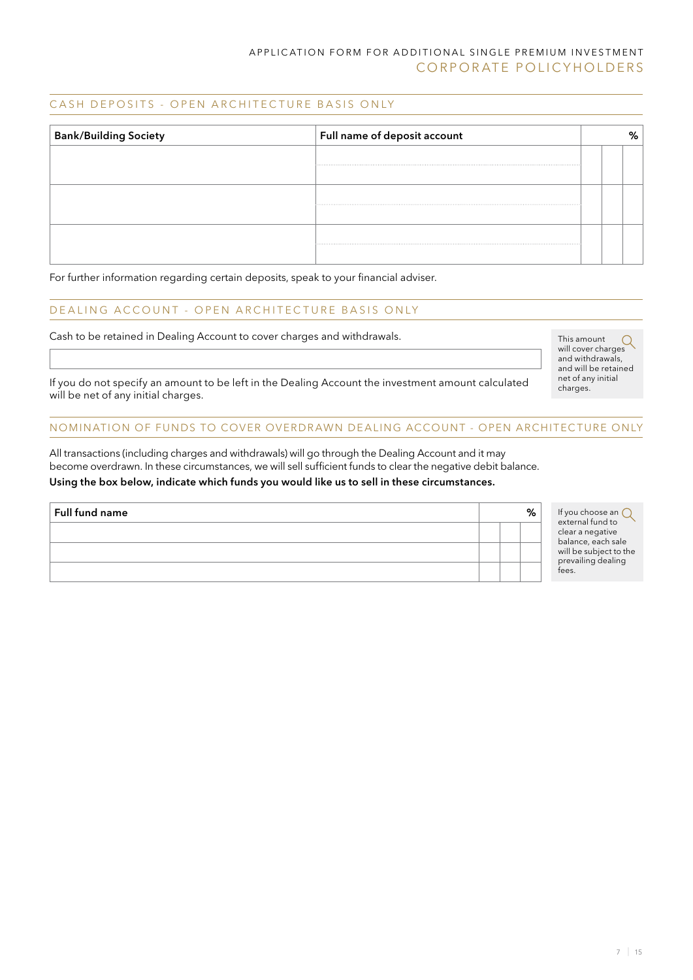#### CASH DEPOSITS - OPEN ARCHITECTURE BASIS ONLY

| $\vert$ Full name of deposit account<br><b>Bank/Building Society</b> |  |  |  |  |
|----------------------------------------------------------------------|--|--|--|--|
|                                                                      |  |  |  |  |
|                                                                      |  |  |  |  |
|                                                                      |  |  |  |  |

For further information regarding certain deposits, speak to your financial adviser.

## DE ALING ACCOUNT - OPEN ARCHITECTURE BASIS ONLY

Cash to be retained in Dealing Account to cover charges and withdrawals.

This amount This amount<br>will cover charges and withdrawals, and will be retained net of any initial charges.

If you do not specify an amount to be left in the Dealing Account the investment amount calculated will be net of any initial charges.

#### NOMINATION OF FUNDS TO COVER OVERDRAWN DEALING ACCOUNT - OPEN ARCHITECTURE ONLY

All transactions (including charges and withdrawals) will go through the Dealing Account and it may become overdrawn. In these circumstances, we will sell sufficient funds to clear the negative debit balance. Using the box below, indicate which funds you would like us to sell in these circumstances.

| <b>Full fund name</b> |  | % | If you choose an C<br>external fund to                                                          |
|-----------------------|--|---|-------------------------------------------------------------------------------------------------|
|                       |  |   | clear a negative<br>balance, each sale<br>will be subject to the<br>prevailing dealing<br>fees. |
|                       |  |   |                                                                                                 |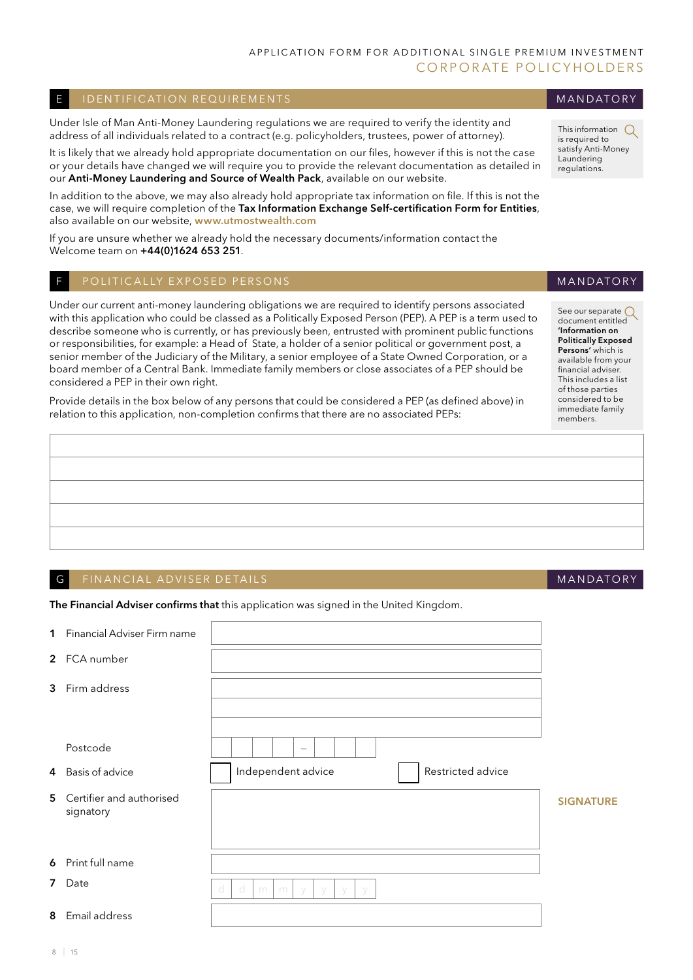#### E I I DENTIFICATION REQUIREMENTS AND THE I CONTROL TO THE MANUATORY

Under Isle of Man Anti-Money Laundering regulations we are required to verify the identity and address of all individuals related to a contract (e.g. policyholders, trustees, power of attorney).

It is likely that we already hold appropriate documentation on our files, however if this is not the case or your details have changed we will require you to provide the relevant documentation as detailed in our Anti-Money Laundering and Source of Wealth Pack, available on our website.

In addition to the above, we may also already hold appropriate tax information on file. If this is not the case, we will require completion of the Tax Information Exchange Self-certification Form for Entities, also available on our website, www.utmostwealth.com

If you are unsure whether we already hold the necessary documents/information contact the Welcome team on +44(0)1624 653 251.

#### F POLITICALLY EXPOSED PERSONS

Under our current anti-money laundering obligations we are required to identify persons associated with this application who could be classed as a Politically Exposed Person (PEP). A PEP is a term used to describe someone who is currently, or has previously been, entrusted with prominent public functions or responsibilities, for example: a Head of State, a holder of a senior political or government post, a senior member of the Judiciary of the Military, a senior employee of a State Owned Corporation, or a board member of a Central Bank. Immediate family members or close associates of a PEP should be considered a PEP in their own right.

Provide details in the box below of any persons that could be considered a PEP (as defined above) in relation to this application, non-completion confirms that there are no associated PEPs:

#### G FINANCIAL ADVISER DETAILS AND A LOCAL AND A LOCAL AND A LOCAL AND A LOCAL AND A LOCAL AND A LOCAL AND A LOCAL AND A LOCAL AND A LOCAL AND A LOCAL AND A LOCAL AND A LOCAL AND A LOCAL AND A LOCAL AND A LOCAL AND A LOCAL AN

The Financial Adviser confirms that this application was signed in the United Kingdom.

| <b>1</b> Financial Adviser Firm name    |                                         |                  |
|-----------------------------------------|-----------------------------------------|------------------|
| 2 FCA number                            |                                         |                  |
| 3 Firm address                          |                                         |                  |
|                                         |                                         |                  |
| Postcode                                |                                         |                  |
| 4 Basis of advice                       | Independent advice<br>Restricted advice |                  |
| 5 Certifier and authorised<br>signatory |                                         | <b>SIGNATURE</b> |
|                                         |                                         |                  |
| 6 Print full name                       |                                         |                  |
| 7 Date                                  | d<br>d<br>m<br>m<br>V                   |                  |
| 8 Email address                         |                                         |                  |

#### This information  $\bigcirc$ is required to satisfy Anti-Money

See our separate ( document entitled 'Information on Politically Exposed Persons' which is available from your financial adviser. This includes a list of those parties considered to be immediate family members.

**MANDATORY** 

Laundering regulations.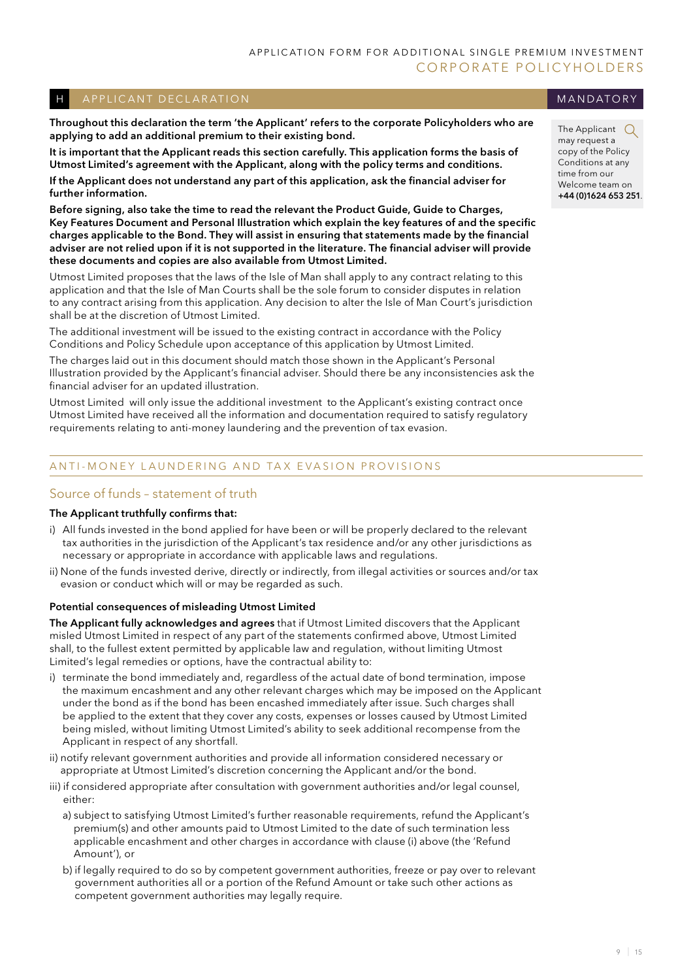#### H A PPLICANT DECLARATION

Throughout this declaration the term 'the Applicant' refers to the corporate Policyholders who are applying to add an additional premium to their existing bond.

It is important that the Applicant reads this section carefully. This application forms the basis of Utmost Limited's agreement with the Applicant, along with the policy terms and conditions.

If the Applicant does not understand any part of this application, ask the financial adviser for further information.

Before signing, also take the time to read the relevant the Product Guide, Guide to Charges, Key Features Document and Personal Illustration which explain the key features of and the specific charges applicable to the Bond. They will assist in ensuring that statements made by the financial adviser are not relied upon if it is not supported in the literature. The financial adviser will provide these documents and copies are also available from Utmost Limited.

Utmost Limited proposes that the laws of the Isle of Man shall apply to any contract relating to this application and that the Isle of Man Courts shall be the sole forum to consider disputes in relation to any contract arising from this application. Any decision to alter the Isle of Man Court's jurisdiction shall be at the discretion of Utmost Limited.

The additional investment will be issued to the existing contract in accordance with the Policy Conditions and Policy Schedule upon acceptance of this application by Utmost Limited.

The charges laid out in this document should match those shown in the Applicant's Personal Illustration provided by the Applicant's financial adviser. Should there be any inconsistencies ask the financial adviser for an updated illustration.

Utmost Limited will only issue the additional investment to the Applicant's existing contract once Utmost Limited have received all the information and documentation required to satisfy regulatory requirements relating to anti-money laundering and the prevention of tax evasion.

## ANTI-MONEY LAUNDERING AND TAX EVASION PROVISIONS

## Source of funds – statement of truth

#### The Applicant truthfully confirms that:

- i) All funds invested in the bond applied for have been or will be properly declared to the relevant tax authorities in the jurisdiction of the Applicant's tax residence and/or any other jurisdictions as necessary or appropriate in accordance with applicable laws and regulations.
- ii) None of the funds invested derive, directly or indirectly, from illegal activities or sources and/or tax evasion or conduct which will or may be regarded as such.

#### Potential consequences of misleading Utmost Limited

The Applicant fully acknowledges and agrees that if Utmost Limited discovers that the Applicant misled Utmost Limited in respect of any part of the statements confirmed above, Utmost Limited shall, to the fullest extent permitted by applicable law and regulation, without limiting Utmost Limited's legal remedies or options, have the contractual ability to:

- i) terminate the bond immediately and, regardless of the actual date of bond termination, impose the maximum encashment and any other relevant charges which may be imposed on the Applicant under the bond as if the bond has been encashed immediately after issue. Such charges shall be applied to the extent that they cover any costs, expenses or losses caused by Utmost Limited being misled, without limiting Utmost Limited's ability to seek additional recompense from the Applicant in respect of any shortfall.
- ii) notify relevant government authorities and provide all information considered necessary or appropriate at Utmost Limited's discretion concerning the Applicant and/or the bond.
- iii) if considered appropriate after consultation with government authorities and/or legal counsel, either:
	- a) subject to satisfying Utmost Limited's further reasonable requirements, refund the Applicant's premium(s) and other amounts paid to Utmost Limited to the date of such termination less applicable encashment and other charges in accordance with clause (i) above (the 'Refund Amount'), or
	- b) if legally required to do so by competent government authorities, freeze or pay over to relevant government authorities all or a portion of the Refund Amount or take such other actions as competent government authorities may legally require.

**MANDATORY** 

The Applicant  $\bigcirc$ may request a copy of the Policy Conditions at any time from our Welcome team on +44 (0)1624 653 251.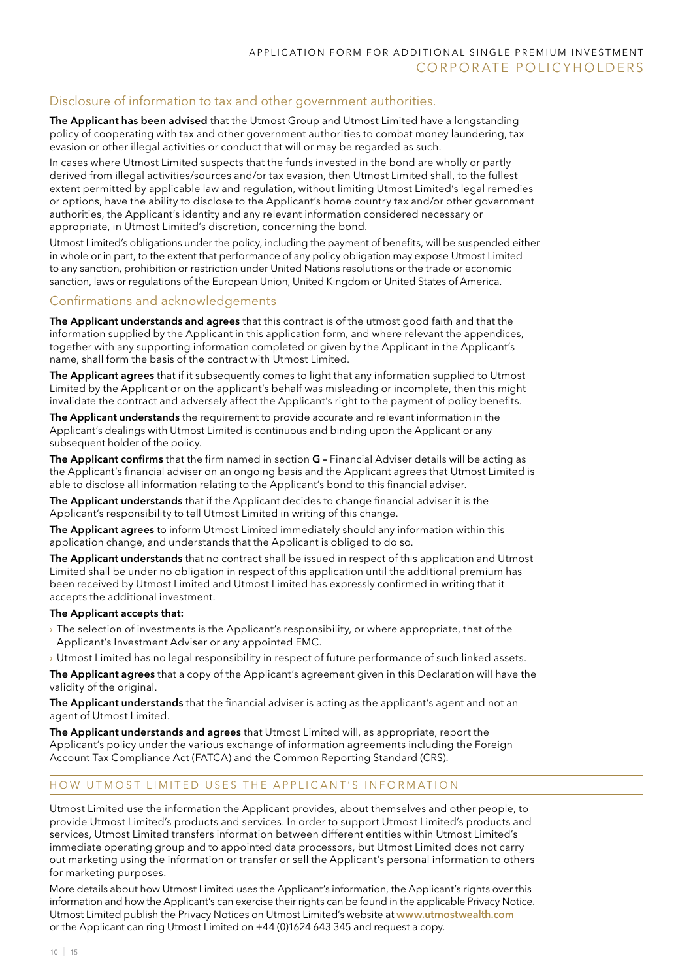## Disclosure of information to tax and other government authorities.

The Applicant has been advised that the Utmost Group and Utmost Limited have a longstanding policy of cooperating with tax and other government authorities to combat money laundering, tax evasion or other illegal activities or conduct that will or may be regarded as such.

In cases where Utmost Limited suspects that the funds invested in the bond are wholly or partly derived from illegal activities/sources and/or tax evasion, then Utmost Limited shall, to the fullest extent permitted by applicable law and regulation, without limiting Utmost Limited's legal remedies or options, have the ability to disclose to the Applicant's home country tax and/or other government authorities, the Applicant's identity and any relevant information considered necessary or appropriate, in Utmost Limited's discretion, concerning the bond.

Utmost Limited's obligations under the policy, including the payment of benefits, will be suspended either in whole or in part, to the extent that performance of any policy obligation may expose Utmost Limited to any sanction, prohibition or restriction under United Nations resolutions or the trade or economic sanction, laws or regulations of the European Union, United Kingdom or United States of America.

#### Confirmations and acknowledgements

The Applicant understands and agrees that this contract is of the utmost good faith and that the information supplied by the Applicant in this application form, and where relevant the appendices, together with any supporting information completed or given by the Applicant in the Applicant's name, shall form the basis of the contract with Utmost Limited.

The Applicant agrees that if it subsequently comes to light that any information supplied to Utmost Limited by the Applicant or on the applicant's behalf was misleading or incomplete, then this might invalidate the contract and adversely affect the Applicant's right to the payment of policy benefits.

The Applicant understands the requirement to provide accurate and relevant information in the Applicant's dealings with Utmost Limited is continuous and binding upon the Applicant or any subsequent holder of the policy.

The Applicant confirms that the firm named in section G - Financial Adviser details will be acting as the Applicant's financial adviser on an ongoing basis and the Applicant agrees that Utmost Limited is able to disclose all information relating to the Applicant's bond to this financial adviser.

The Applicant understands that if the Applicant decides to change financial adviser it is the Applicant's responsibility to tell Utmost Limited in writing of this change.

The Applicant agrees to inform Utmost Limited immediately should any information within this application change, and understands that the Applicant is obliged to do so.

The Applicant understands that no contract shall be issued in respect of this application and Utmost Limited shall be under no obligation in respect of this application until the additional premium has been received by Utmost Limited and Utmost Limited has expressly confirmed in writing that it accepts the additional investment.

#### The Applicant accepts that:

- › The selection of investments is the Applicant's responsibility, or where appropriate, that of the Applicant's Investment Adviser or any appointed EMC.
- › Utmost Limited has no legal responsibility in respect of future performance of such linked assets.

The Applicant agrees that a copy of the Applicant's agreement given in this Declaration will have the validity of the original.

The Applicant understands that the financial adviser is acting as the applicant's agent and not an agent of Utmost Limited.

The Applicant understands and agrees that Utmost Limited will, as appropriate, report the Applicant's policy under the various exchange of information agreements including the Foreign Account Tax Compliance Act (FATCA) and the Common Reporting Standard (CRS).

#### HOW UTMOST LIMITED USES THE APPLICANT'S INFORMATION

Utmost Limited use the information the Applicant provides, about themselves and other people, to provide Utmost Limited's products and services. In order to support Utmost Limited's products and services, Utmost Limited transfers information between different entities within Utmost Limited's immediate operating group and to appointed data processors, but Utmost Limited does not carry out marketing using the information or transfer or sell the Applicant's personal information to others for marketing purposes.

More details about how Utmost Limited uses the Applicant's information, the Applicant's rights over this information and how the Applicant's can exercise their rights can be found in the applicable Privacy Notice. Utmost Limited publish the Privacy Notices on Utmost Limited's website at www.utmostwealth.com or the Applicant can ring Utmost Limited on +44 (0)1624 643 345 and request a copy.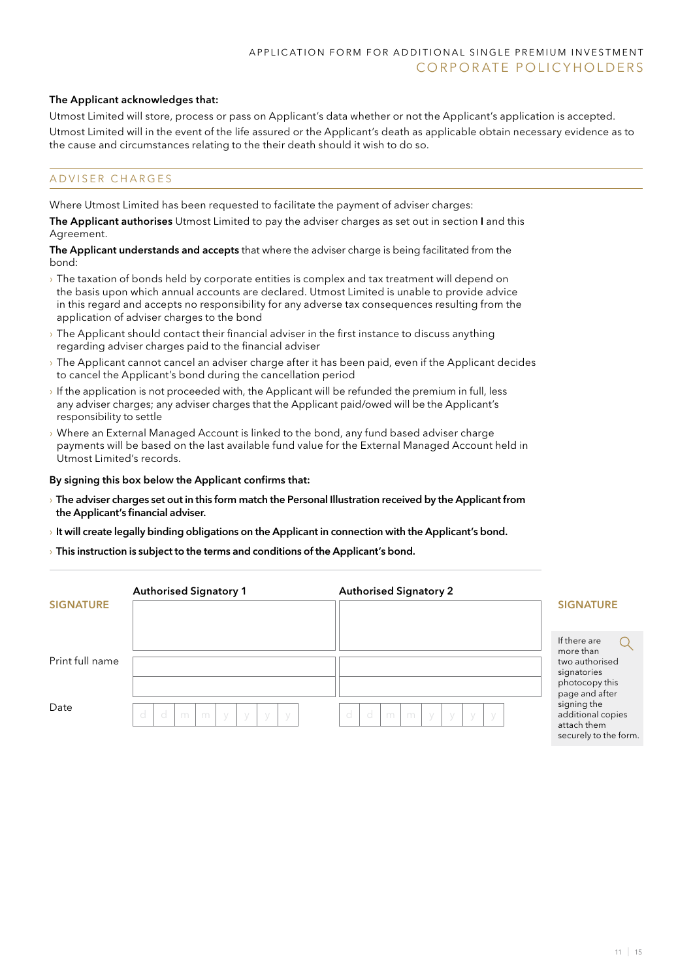#### The Applicant acknowledges that:

Utmost Limited will store, process or pass on Applicant's data whether or not the Applicant's application is accepted. Utmost Limited will in the event of the life assured or the Applicant's death as applicable obtain necessary evidence as to the cause and circumstances relating to the their death should it wish to do so.

#### A D V I S E R C H A R G E S

Where Utmost Limited has been requested to facilitate the payment of adviser charges:

The Applicant authorises Utmost Limited to pay the adviser charges as set out in section I and this Agreement.

The Applicant understands and accepts that where the adviser charge is being facilitated from the bond:

- › The taxation of bonds held by corporate entities is complex and tax treatment will depend on the basis upon which annual accounts are declared. Utmost Limited is unable to provide advice in this regard and accepts no responsibility for any adverse tax consequences resulting from the application of adviser charges to the bond
- › The Applicant should contact their financial adviser in the first instance to discuss anything regarding adviser charges paid to the financial adviser
- › The Applicant cannot cancel an adviser charge after it has been paid, even if the Applicant decides to cancel the Applicant's bond during the cancellation period
- If the application is not proceeded with, the Applicant will be refunded the premium in full, less any adviser charges; any adviser charges that the Applicant paid/owed will be the Applicant's responsibility to settle
- › Where an External Managed Account is linked to the bond, any fund based adviser charge payments will be based on the last available fund value for the External Managed Account held in Utmost Limited's records.

#### By signing this box below the Applicant confirms that:

- › The adviser charges set out in this form match the Personal Illustration received by the Applicant from the Applicant's financial adviser.
- $\rightarrow$  It will create legally binding obligations on the Applicant in connection with the Applicant's bond.
- $\rightarrow$  This instruction is subject to the terms and conditions of the Applicant's bond.

|                  | <b>Authorised Signatory 1</b>                     | <b>Authorised Signatory 2</b>                     |                                                                                            |
|------------------|---------------------------------------------------|---------------------------------------------------|--------------------------------------------------------------------------------------------|
| <b>SIGNATURE</b> |                                                   |                                                   | <b>SIGNATURE</b>                                                                           |
| Print full name  |                                                   |                                                   | If there are<br>more than<br>two authorised<br>signatories<br>photocopy this               |
| Date             | d<br>- d<br>m<br>m<br>y<br>- y<br>- y<br><b>V</b> | d<br>- d<br>m<br>m<br>- y<br>- y<br>- y<br>$\vee$ | page and after<br>signing the<br>additional copies<br>attach them<br>securely to the form. |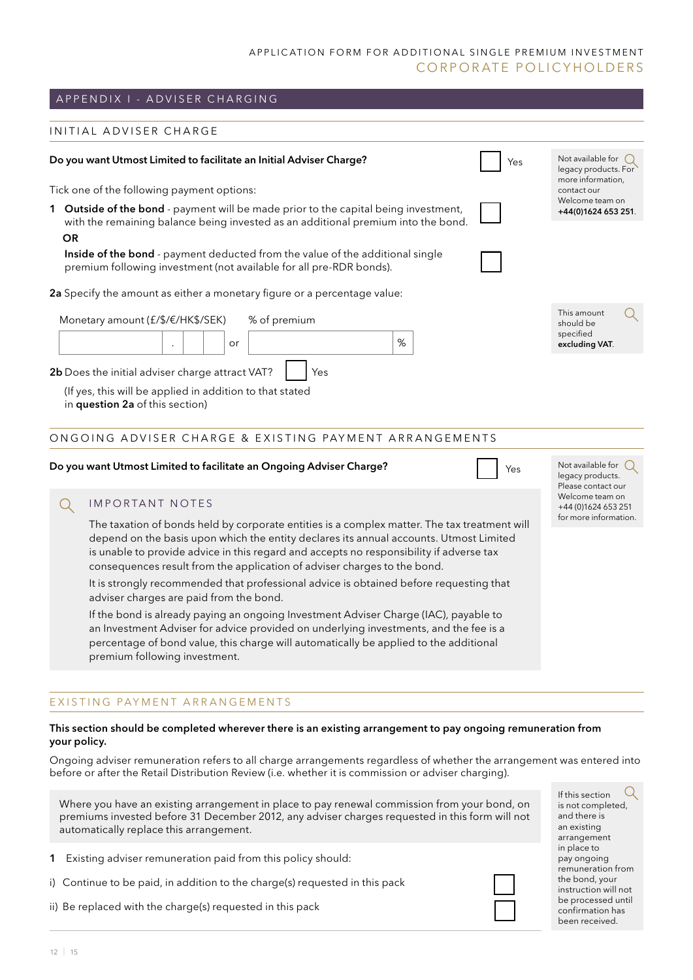## A P P EN D I X I - A D V I S ER CHARGING

#### INITIAL ADVISER CHARGE

| Do you want Utmost Limited to facilitate an Initial Adviser Charge?                                                                                                      | Yes | Not available for $\binom{1}{2}$<br>legacy products. For |
|--------------------------------------------------------------------------------------------------------------------------------------------------------------------------|-----|----------------------------------------------------------|
| Tick one of the following payment options:                                                                                                                               |     | more information,<br>contact our                         |
| 1 Outside of the bond - payment will be made prior to the capital being investment,<br>with the remaining balance being invested as an additional premium into the bond. |     | Welcome team on<br>+44(0)1624 653 251.                   |
| <b>OR</b><br><b>Inside of the bond</b> - payment deducted from the value of the additional single<br>premium following investment (not available for all pre-RDR bonds). |     |                                                          |
| <b>2a</b> Specify the amount as either a monetary figure or a percentage value:                                                                                          |     |                                                          |
| Monetary amount $(f/\$/\epsilon/HK\$/SEK)$<br>% of premium<br>$\%$<br>or                                                                                                 |     | This amount<br>should be<br>specified<br>excluding VAT.  |
| 2b Does the initial adviser charge attract VAT?<br>Yes<br>(If yes, this will be applied in addition to that stated<br>in question 2a of this section)                    |     |                                                          |
| ONGOING ADVISER CHARGE & EXISTING PAYMENT ARRANGEMENTS                                                                                                                   |     |                                                          |

#### Do you want Utmost Limited to facilitate an Ongoing Adviser Charge?  $\vert \vert$

#### IMPORTANT NOTES  $\Omega$

The taxation of bonds held by corporate entities is a complex matter. The tax treatment will depend on the basis upon which the entity declares its annual accounts. Utmost Limited is unable to provide advice in this regard and accepts no responsibility if adverse tax consequences result from the application of adviser charges to the bond.

It is strongly recommended that professional advice is obtained before requesting that adviser charges are paid from the bond.

If the bond is already paying an ongoing Investment Adviser Charge (IAC), payable to an Investment Adviser for advice provided on underlying investments, and the fee is a percentage of bond value, this charge will automatically be applied to the additional premium following investment.

#### EXISTING PAYMENT ARRANGEMENTS

#### This section should be completed wherever there is an existing arrangement to pay ongoing remuneration from your policy.

Ongoing adviser remuneration refers to all charge arrangements regardless of whether the arrangement was entered into before or after the Retail Distribution Review (i.e. whether it is commission or adviser charging).

Where you have an existing arrangement in place to pay renewal commission from your bond, on premiums invested before 31 December 2012, any adviser charges requested in this form will not automatically replace this arrangement.

- 1 Existing adviser remuneration paid from this policy should:
- i) Continue to be paid, in addition to the charge(s) requested in this pack
- ii) Be replaced with the charge(s) requested in this pack



 $\left( \right)$ If this section is not completed, and there is an existing arrangement in place to pay ongoing remuneration from the bond, your instruction will not be processed until confirmation has been received.

Not available for  $\bigcirc$ legacy products. Please contact our Welcome team on +44 (0)1624 653 251 for more information.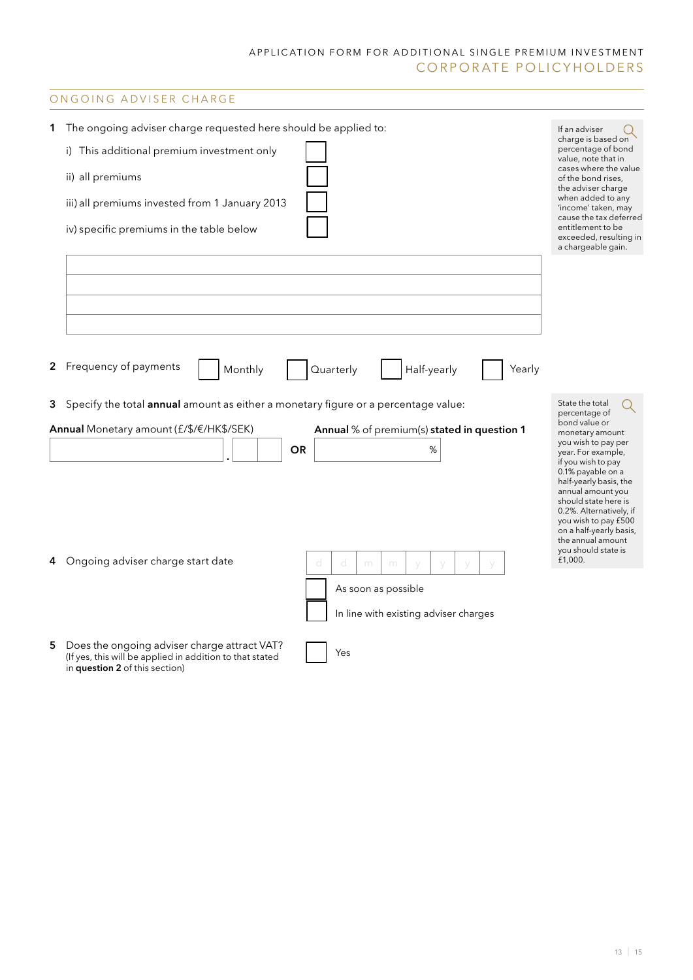## ONGOING ADVISER CHARGE

| 1 | The ongoing adviser charge requested here should be applied to:                                                                                   | If an adviser                                                       |
|---|---------------------------------------------------------------------------------------------------------------------------------------------------|---------------------------------------------------------------------|
|   | i) This additional premium investment only                                                                                                        | charge is based on<br>percentage of bond<br>value, note that in     |
|   | ii) all premiums                                                                                                                                  | cases where the value<br>of the bond rises,                         |
|   | iii) all premiums invested from 1 January 2013                                                                                                    | the adviser charge<br>when added to any                             |
|   |                                                                                                                                                   | 'income' taken, may<br>cause the tax deferred                       |
|   | iv) specific premiums in the table below                                                                                                          | entitlement to be<br>exceeded, resulting in<br>a chargeable gain.   |
|   |                                                                                                                                                   |                                                                     |
|   |                                                                                                                                                   |                                                                     |
|   |                                                                                                                                                   |                                                                     |
|   |                                                                                                                                                   |                                                                     |
|   |                                                                                                                                                   |                                                                     |
|   | 2 Frequency of payments<br>Half-yearly<br>Monthly<br>Quarterly<br>Yearly                                                                          |                                                                     |
|   | 3 Specify the total annual amount as either a monetary figure or a percentage value:                                                              | State the total                                                     |
|   | Annual Monetary amount (£/\$/€/HK\$/SEK)<br>Annual % of premium(s) stated in question 1                                                           | percentage of<br>bond value or<br>monetary amount                   |
|   | <b>OR</b><br>$\%$                                                                                                                                 | you wish to pay per<br>year. For example,                           |
|   |                                                                                                                                                   | if you wish to pay<br>0.1% payable on a                             |
|   |                                                                                                                                                   | half-yearly basis, the<br>annual amount you<br>should state here is |
|   |                                                                                                                                                   | 0.2%. Alternatively, if<br>you wish to pay £500                     |
|   |                                                                                                                                                   | on a half-yearly basis,<br>the annual amount                        |
|   | 4 Ongoing adviser charge start date<br>d<br>d<br>m<br>m                                                                                           | you should state is<br>£1,000.                                      |
|   | As soon as possible                                                                                                                               |                                                                     |
|   | In line with existing adviser charges                                                                                                             |                                                                     |
|   |                                                                                                                                                   |                                                                     |
| 5 | Does the ongoing adviser charge attract VAT?<br>Yes<br>(If yes, this will be applied in addition to that stated<br>in question 2 of this section) |                                                                     |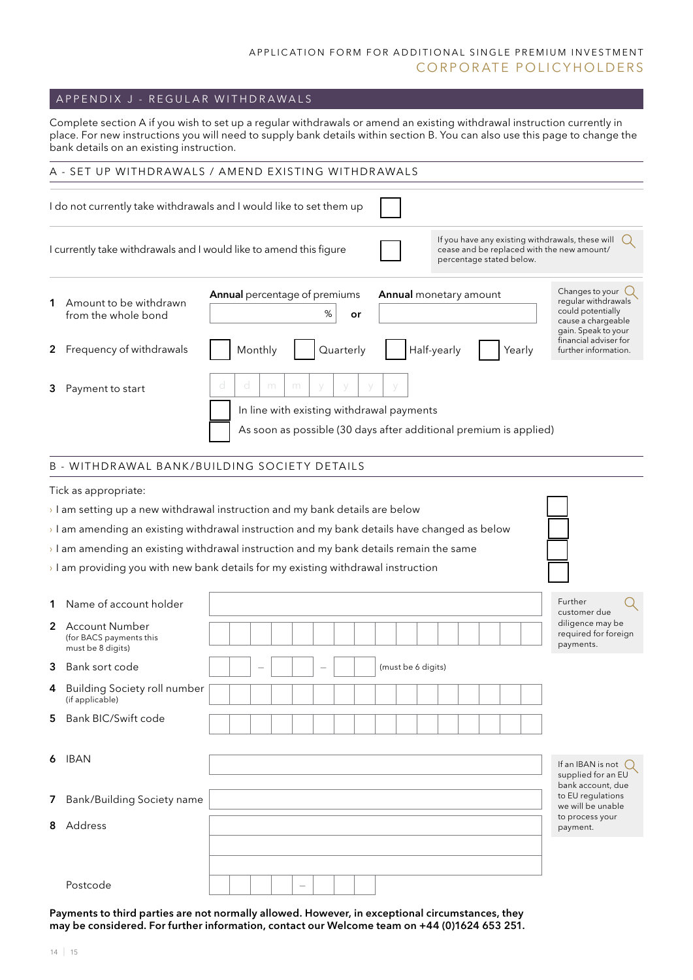## A P P ENDIX J - REGULAR WITH DRAWALS

Complete section A if you wish to set up a regular withdrawals or amend an existing withdrawal instruction currently in place. For new instructions you will need to supply bank details within section B. You can also use this page to change the bank details on an existing instruction.

|        | A - SET UP WITHDRAWALS / AMEND EXISTING WITHDRAWALS                                                                                                                                                                                                                                                                                                                             |   |   |         |   |                                                                                                                     |   |           |    |  |                                       |  |                          |        |                                                                                                                                                                     |  |
|--------|---------------------------------------------------------------------------------------------------------------------------------------------------------------------------------------------------------------------------------------------------------------------------------------------------------------------------------------------------------------------------------|---|---|---------|---|---------------------------------------------------------------------------------------------------------------------|---|-----------|----|--|---------------------------------------|--|--------------------------|--------|---------------------------------------------------------------------------------------------------------------------------------------------------------------------|--|
|        | I do not currently take withdrawals and I would like to set them up                                                                                                                                                                                                                                                                                                             |   |   |         |   |                                                                                                                     |   |           |    |  |                                       |  |                          |        |                                                                                                                                                                     |  |
|        | I currently take withdrawals and I would like to amend this figure                                                                                                                                                                                                                                                                                                              |   |   |         |   |                                                                                                                     |   |           |    |  |                                       |  | percentage stated below. |        | If you have any existing withdrawals, these will<br>cease and be replaced with the new amount/                                                                      |  |
|        | 1 Amount to be withdrawn<br>from the whole bond<br>2 Frequency of withdrawals                                                                                                                                                                                                                                                                                                   |   |   | Monthly |   | Annual percentage of premiums                                                                                       | % | Quarterly | or |  | Annual monetary amount<br>Half-yearly |  |                          | Yearly | Changes to your $\bigcup$<br>regular withdrawals<br>could potentially<br>cause a chargeable<br>gain. Speak to your<br>financial adviser for<br>further information. |  |
|        | 3 Payment to start                                                                                                                                                                                                                                                                                                                                                              | d | d |         | m | m<br>In line with existing withdrawal payments<br>As soon as possible (30 days after additional premium is applied) |   |           |    |  |                                       |  |                          |        |                                                                                                                                                                     |  |
|        | <b>B - WITHDRAWAL BANK/BUILDING SOCIETY DETAILS</b>                                                                                                                                                                                                                                                                                                                             |   |   |         |   |                                                                                                                     |   |           |    |  |                                       |  |                          |        |                                                                                                                                                                     |  |
|        | I am setting up a new withdrawal instruction and my bank details are below<br>$\rightarrow$ I am amending an existing withdrawal instruction and my bank details have changed as below<br>$\rightarrow$ I am amending an existing withdrawal instruction and my bank details remain the same<br>I am providing you with new bank details for my existing withdrawal instruction |   |   |         |   |                                                                                                                     |   |           |    |  |                                       |  |                          |        |                                                                                                                                                                     |  |
|        | 1 Name of account holder                                                                                                                                                                                                                                                                                                                                                        |   |   |         |   |                                                                                                                     |   |           |    |  |                                       |  |                          |        | Further<br>customer due                                                                                                                                             |  |
|        | 2 Account Number<br>(for BACS payments this<br>must be 8 digits)                                                                                                                                                                                                                                                                                                                |   |   |         |   |                                                                                                                     |   |           |    |  |                                       |  |                          |        | diligence may be<br>required for foreign<br>payments.                                                                                                               |  |
|        | <b>3</b> Bank sort code                                                                                                                                                                                                                                                                                                                                                         |   |   |         |   |                                                                                                                     |   |           |    |  | (must be 6 digits)                    |  |                          |        |                                                                                                                                                                     |  |
|        | 4 Building Society roll number<br>(if applicable)                                                                                                                                                                                                                                                                                                                               |   |   |         |   |                                                                                                                     |   |           |    |  |                                       |  |                          |        |                                                                                                                                                                     |  |
| 5      | Bank BIC/Swift code                                                                                                                                                                                                                                                                                                                                                             |   |   |         |   |                                                                                                                     |   |           |    |  |                                       |  |                          |        |                                                                                                                                                                     |  |
| 6      | IBAN                                                                                                                                                                                                                                                                                                                                                                            |   |   |         |   |                                                                                                                     |   |           |    |  |                                       |  |                          |        | If an IBAN is not $\bigcirc$<br>supplied for an EU<br>bank account, due                                                                                             |  |
| 7<br>8 | Bank/Building Society name<br>Address                                                                                                                                                                                                                                                                                                                                           |   |   |         |   |                                                                                                                     |   |           |    |  |                                       |  |                          |        | to EU regulations<br>we will be unable<br>to process your<br>payment.                                                                                               |  |
|        | Postcode                                                                                                                                                                                                                                                                                                                                                                        |   |   |         |   |                                                                                                                     |   |           |    |  |                                       |  |                          |        |                                                                                                                                                                     |  |

Payments to third parties are not normally allowed. However, in exceptional circumstances, they may be considered. For further information, contact our Welcome team on +44 (0)1624 653 251.